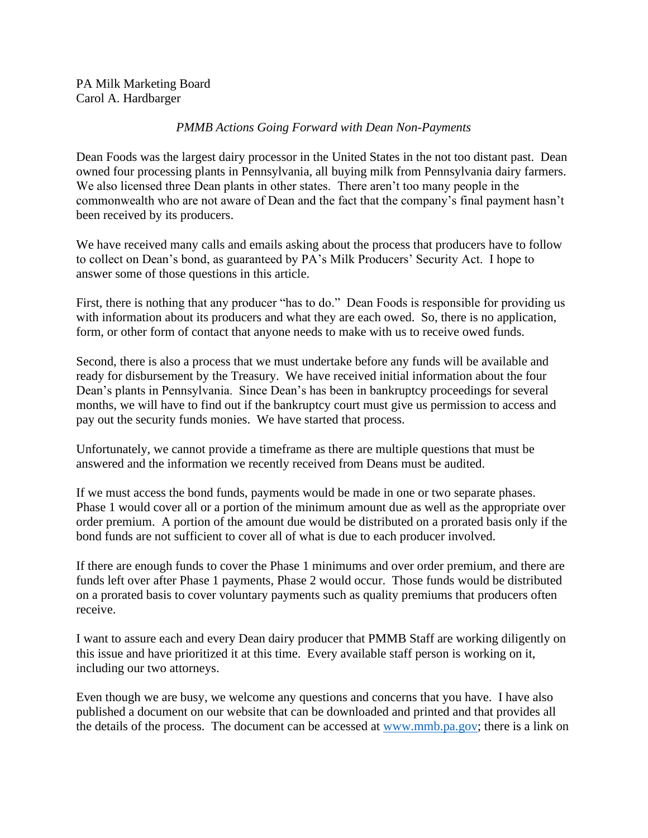## *PMMB Actions Going Forward with Dean Non-Payments*

Dean Foods was the largest dairy processor in the United States in the not too distant past. Dean owned four processing plants in Pennsylvania, all buying milk from Pennsylvania dairy farmers. We also licensed three Dean plants in other states. There aren't too many people in the commonwealth who are not aware of Dean and the fact that the company's final payment hasn't been received by its producers.

We have received many calls and emails asking about the process that producers have to follow to collect on Dean's bond, as guaranteed by PA's Milk Producers' Security Act. I hope to answer some of those questions in this article.

First, there is nothing that any producer "has to do." Dean Foods is responsible for providing us with information about its producers and what they are each owed. So, there is no application, form, or other form of contact that anyone needs to make with us to receive owed funds.

Second, there is also a process that we must undertake before any funds will be available and ready for disbursement by the Treasury. We have received initial information about the four Dean's plants in Pennsylvania. Since Dean's has been in bankruptcy proceedings for several months, we will have to find out if the bankruptcy court must give us permission to access and pay out the security funds monies. We have started that process.

Unfortunately, we cannot provide a timeframe as there are multiple questions that must be answered and the information we recently received from Deans must be audited.

If we must access the bond funds, payments would be made in one or two separate phases. Phase 1 would cover all or a portion of the minimum amount due as well as the appropriate over order premium. A portion of the amount due would be distributed on a prorated basis only if the bond funds are not sufficient to cover all of what is due to each producer involved.

If there are enough funds to cover the Phase 1 minimums and over order premium, and there are funds left over after Phase 1 payments, Phase 2 would occur. Those funds would be distributed on a prorated basis to cover voluntary payments such as quality premiums that producers often receive.

I want to assure each and every Dean dairy producer that PMMB Staff are working diligently on this issue and have prioritized it at this time. Every available staff person is working on it, including our two attorneys.

Even though we are busy, we welcome any questions and concerns that you have. I have also published a document on our website that can be downloaded and printed and that provides all the details of the process. The document can be accessed at [www.mmb.pa.gov;](http://www.mmb.pa.gov/) there is a link on